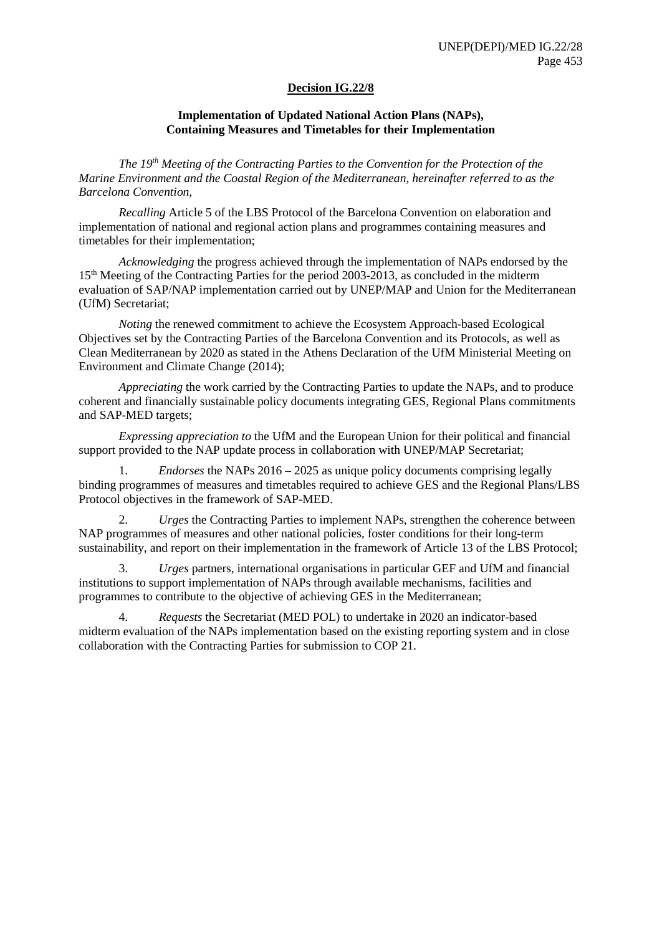## **Decision IG.22/8**

## **Implementation of Updated National Action Plans (NAPs), Containing Measures and Timetables for their Implementation**

*The 19th Meeting of the Contracting Parties to the Convention for the Protection of the Marine Environment and the Coastal Region of the Mediterranean, hereinafter referred to as the Barcelona Convention,*

*Recalling* Article 5 of the LBS Protocol of the Barcelona Convention on elaboration and implementation of national and regional action plans and programmes containing measures and timetables for their implementation;

*Acknowledging* the progress achieved through the implementation of NAPs endorsed by the 15<sup>th</sup> Meeting of the Contracting Parties for the period 2003-2013, as concluded in the midterm evaluation of SAP/NAP implementation carried out by UNEP/MAP and Union for the Mediterranean (UfM) Secretariat;

*Noting* the renewed commitment to achieve the Ecosystem Approach-based Ecological Objectives set by the Contracting Parties of the Barcelona Convention and its Protocols, as well as Clean Mediterranean by 2020 as stated in the Athens Declaration of the UfM Ministerial Meeting on Environment and Climate Change (2014);

*Appreciating* the work carried by the Contracting Parties to update the NAPs, and to produce coherent and financially sustainable policy documents integrating GES, Regional Plans commitments and SAP-MED targets;

*Expressing appreciation to* the UfM and the European Union for their political and financial support provided to the NAP update process in collaboration with UNEP/MAP Secretariat;

1. *Endorses* the NAPs 2016 – 2025 as unique policy documents comprising legally binding programmes of measures and timetables required to achieve GES and the Regional Plans/LBS Protocol objectives in the framework of SAP-MED.

2. *Urges* the Contracting Parties to implement NAPs, strengthen the coherence between NAP programmes of measures and other national policies, foster conditions for their long-term sustainability, and report on their implementation in the framework of Article 13 of the LBS Protocol;

3. *Urges* partners, international organisations in particular GEF and UfM and financial institutions to support implementation of NAPs through available mechanisms, facilities and programmes to contribute to the objective of achieving GES in the Mediterranean;

4. *Requests* the Secretariat (MED POL) to undertake in 2020 an indicator-based midterm evaluation of the NAPs implementation based on the existing reporting system and in close collaboration with the Contracting Parties for submission to COP 21.